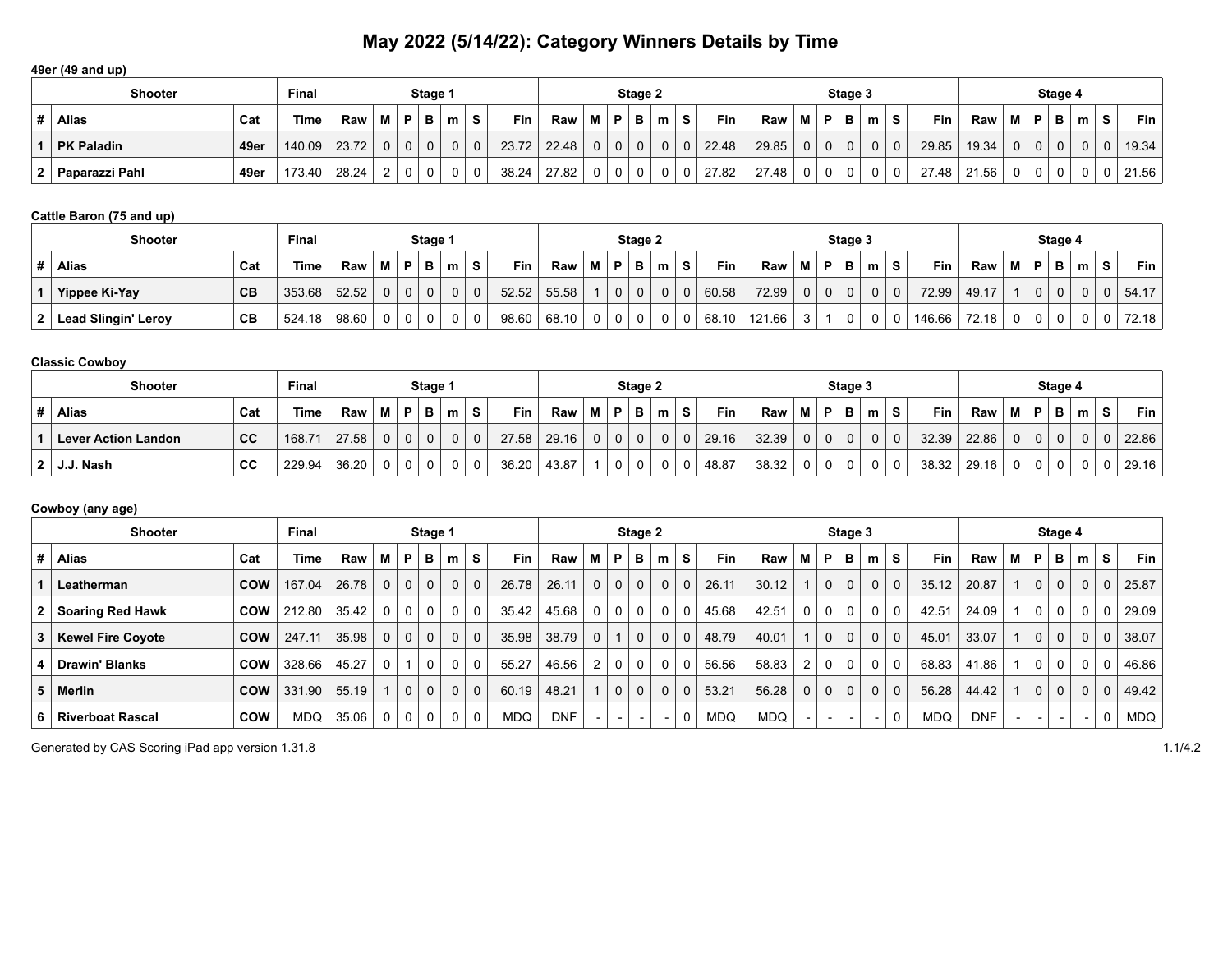#### **49er (49 and up)**

|                | <b>Shooter</b>    |      | <b>Final</b> |       |                |                | Stage 1  |   |                |       |       |          |          | Stage 2  |   |                |       |       |                |                | Stage 3  |   |          |       |       |          |             | Stage 4  |          |          |                  |
|----------------|-------------------|------|--------------|-------|----------------|----------------|----------|---|----------------|-------|-------|----------|----------|----------|---|----------------|-------|-------|----------------|----------------|----------|---|----------|-------|-------|----------|-------------|----------|----------|----------|------------------|
|                | <b>Alias</b>      | Cat  | <b>Time</b>  | Raw   |                | M   P          | в        | m | <b>S</b>       | Fin,  | Raw   |          | D        | в        | m | s              | Fin   | Raw   |                | Ð              | в        | m | S.       | Fin   | Raw   |          | P           | в        | m        | S.       | Fin <sub>1</sub> |
|                | <b>PK Paladin</b> | 49er | 140.09       | 23.72 | $\Omega$       | 0 <sup>1</sup> | $\Omega$ |   | $\overline{0}$ | 23.72 | 22.48 | $\Omega$ | $\Omega$ | $\Omega$ |   | 0 <sup>1</sup> | 22.48 | 29.85 | $\Omega$       | 0 <sup>1</sup> | $\Omega$ |   | $\Omega$ | 29.85 | 19.34 | $\Omega$ | $\mathbf 0$ | $\Omega$ | $\Omega$ | $\Omega$ | 19.34            |
| 2 <sup>2</sup> | Paparazzi Pahl    | 49er | 173.40       | 28.24 | $\overline{2}$ | $\overline{0}$ |          |   | 0              | 38.24 | 27.82 | $\Omega$ |          |          |   | 0 <sup>1</sup> | 27.82 | 27.48 | 0 <sup>1</sup> | $\overline{0}$ | $\Omega$ |   | $\Omega$ | 27.48 | 21.56 |          | 0           | 0        |          |          | 21.56            |

# **Cattle Baron (75 and up)**

| <b>Shooter</b>      |     | <b>Final</b> |       |          |             | Stage 1     |          |             |            |                           |          |              | Stage 2  |   |   |            |        |                |                | Stage 3    |          |   |        |       |                |          | Stage 4     |   |   |       |
|---------------------|-----|--------------|-------|----------|-------------|-------------|----------|-------------|------------|---------------------------|----------|--------------|----------|---|---|------------|--------|----------------|----------------|------------|----------|---|--------|-------|----------------|----------|-------------|---|---|-------|
| <b>Alias</b>        | Cat | Time.        | Raw   | м        | P           | В           | m        | s           | <b>Fin</b> | Raw                       | М        | P            | в        | m | S | <b>Fin</b> | Raw    | M              | P.             | <b>B</b> I | ີm⊓      | s | Fin    | Raw   | МI             | <b>P</b> | в           | m | S | Fin   |
| Yippee Ki-Yay       | CB  | 353.68       | 52.52 | $\Omega$ | $\mathbf 0$ | $\mathbf 0$ | $\Omega$ | $\mathbf 0$ | 52.52      | 55.58                     |          | $\mathbf{0}$ | $\Omega$ | 0 | 0 | 60.58      | 72.99  | 0 <sup>1</sup> | 0 <sup>1</sup> | $\Omega$   | $\Omega$ | 0 | 72.99  | 49.17 |                | $\Omega$ | $\mathbf 0$ |   |   | 54.17 |
| Lead Slingin' Leroy | CВ  | 524.18       | 98.60 | - 0      | 0           | $\Omega$    | $\Omega$ | 0           | 98.60      | $^+$ 68.10 $\overline{)}$ | $\Omega$ | $\mathbf{0}$ | 0        | 0 | 0 | 68.10      | 121.66 |                |                | $\Omega$   |          |   | 146.66 | 72.18 | 0 <sup>1</sup> |          | $\Omega$    |   |   | 72.18 |

#### **Classic Cowboy**

| <b>Shooter</b>             |     | <b>Final</b> |       |          |             | Stage 1     |                |             |       |       |             |             | Stage 2      |   |             |       |       |                |                | Stage 3  |    |   |       |       |                |              | Stage 4      |   |          |       |
|----------------------------|-----|--------------|-------|----------|-------------|-------------|----------------|-------------|-------|-------|-------------|-------------|--------------|---|-------------|-------|-------|----------------|----------------|----------|----|---|-------|-------|----------------|--------------|--------------|---|----------|-------|
| <b>Alias</b>               | Cat | <b>Time</b>  | Raw   | м        | P           | в           | m              | S           | Fin   | Raw   | М           | P           | B            | m | S           | Fin   | Raw   | МI             | P.             | B        | m. | s | Fin   | Raw   | МI             | D            | в            | m | <b>S</b> | Fin I |
| <b>Lever Action Landon</b> | cc  | 168.7'       | 27.58 | $\Omega$ | $\mathbf 0$ | $\mathbf 0$ | $\overline{0}$ | $\mathbf 0$ | 27.58 | 29.16 | $\mathbf 0$ | $\mathbf 0$ | $\mathbf{0}$ | 0 | $\mathbf 0$ | 29.16 | 32.39 | 0 <sup>1</sup> | $\overline{0}$ | $\Omega$ | 0  |   | 32.39 | 22.86 | 0 <sup>1</sup> | $\mathbf{0}$ | $\mathbf{0}$ |   |          | 22.86 |
| $2$   J.J. Nash            | CC  | 229.94       | 36.20 | - 0      | 0           | 0           | $\Omega$       | 0           | 36.20 | 43.87 |             | 0           | 0            | 0 | 0           | 48.87 | 38.32 | 0 <sup>1</sup> |                | 0        |    |   | 38.32 | 29.16 | 0 <sup>1</sup> |              | 0            |   |          | 29.16 |

# **Cowboy (any age)**

|   | <b>Shooter</b>           |            |            |       |              | Stage 1        |                |                |             |            |            |                          | Stage 2  |                          |                          |          |       |            |                | Stage 3        |                          |             |          |            |            |                          | Stage 4                  |                          |                |                |            |
|---|--------------------------|------------|------------|-------|--------------|----------------|----------------|----------------|-------------|------------|------------|--------------------------|----------|--------------------------|--------------------------|----------|-------|------------|----------------|----------------|--------------------------|-------------|----------|------------|------------|--------------------------|--------------------------|--------------------------|----------------|----------------|------------|
|   | Alias                    | Cat        | Time       | Raw   | м            | P              | в              | m              | S.          | <b>Fin</b> | Raw        | м                        | P        | в                        | m                        | s        | Fin   | Raw        | М              | <b>P</b>       | в                        | m           | s        | <b>Fin</b> | Raw        | м                        | P                        | в                        | m              | S.             | Fin I      |
|   | Leatherman               | <b>COW</b> | 167.04     | 26.78 | $\mathbf 0$  | 0 <sup>1</sup> | $\overline{0}$ | 0 <sup>1</sup> | $\mathbf 0$ | 26.78      | 26.11      | $\mathbf 0$              | 0        | $\mathbf{0}$             | $\mathbf{0}$             | $\Omega$ | 26.11 | 30.12      |                | $\mathbf 0$    | 0 <sup>1</sup>           | $\mathbf 0$ | $\Omega$ | 35.12      | 20.87      |                          | $\mathbf 0$              | $\mathbf 0$              | 0 <sup>1</sup> | 0 <sup>1</sup> | 25.87      |
|   | <b>Soaring Red Hawk</b>  | <b>COW</b> | 212.80     | 35.42 | $\Omega$     |                | $0 \mid 0$     | 0 <sup>1</sup> | 0           | 35.42      | 45.68      | $\mathbf 0$              | $\Omega$ | $\Omega$                 | $\mathbf{0}$             | $\Omega$ | 45.68 | 42.51      | 0 <sup>1</sup> | 0              | 0 <sup>1</sup>           |             | 0        | 42.51      | 24.09      |                          | 0                        | $\mathbf{0}$             | $\Omega$       | 0              | 29.09      |
| 3 | <b>Kewel Fire Coyote</b> | <b>COW</b> | 247.11     | 35.98 | $\mathbf 0$  | 0 <sup>1</sup> | $\mathbf 0$    | 0 <sup>1</sup> | $\mathbf 0$ | 35.98      | 38.79      | $\mathbf 0$              |          | $\mathbf{0}$             | 0                        | $\Omega$ | 48.79 | 40.01      |                | $\mathbf 0$    | 0 <sup>1</sup>           | $\mathbf 0$ | 0        | 45.01      | 33.07      |                          | $\mathbf 0$              | $\mathbf 0$              | $\Omega$       | $\mathbf 0$    | 38.07      |
|   | <b>Drawin' Blanks</b>    | <b>COW</b> | 328.66     | 45.27 | $\mathbf{0}$ | -4             | 0              | 0              | 0           | 55.27      | 46.56      | $\overline{2}$           | $\Omega$ | $\Omega$                 | 0                        | $\Omega$ | 56.56 | 58.83      | 2              | 0              | 0 <sup>1</sup>           |             | $\Omega$ | 68.83      | 41.86      |                          | 0                        | 0                        | $\mathbf{0}$   | 0              | 46.86      |
|   | 5 Merlin                 | <b>COW</b> | 331.90     | 55.19 |              |                | $0 \mid 0$     | 0 <sup>1</sup> | $\mathbf 0$ | 60.19      | 48.21      | $\overline{1}$           | $\Omega$ | $\Omega$                 | 0                        | $\Omega$ | 53.21 | 56.28      | 0 <sup>1</sup> | $\overline{0}$ | 0 <sup>1</sup>           |             | $\Omega$ | 56.28      | 44.42      |                          | $\mathbf 0$              | $\mathbf 0$              | $\Omega$       | $\Omega$       | 49.42      |
|   | <b>Riverboat Rascal</b>  | <b>COW</b> | <b>MDQ</b> | 35.06 | 0            | $\overline{0}$ | $\mathbf 0$    | $\mathbf 0$    | 0           | <b>MDQ</b> | <b>DNF</b> | $\overline{\phantom{a}}$ | $\sim$   | $\overline{\phantom{0}}$ | $\overline{\phantom{0}}$ | $\Omega$ | MDQ   | <b>MDQ</b> |                |                | $\overline{\phantom{0}}$ |             |          | MDQ        | <b>DNF</b> | $\overline{\phantom{a}}$ | $\overline{\phantom{0}}$ | $\overline{\phantom{0}}$ |                | 0              | <b>MDQ</b> |

Generated by CAS Scoring iPad app version 1.31.8 1.1/4.2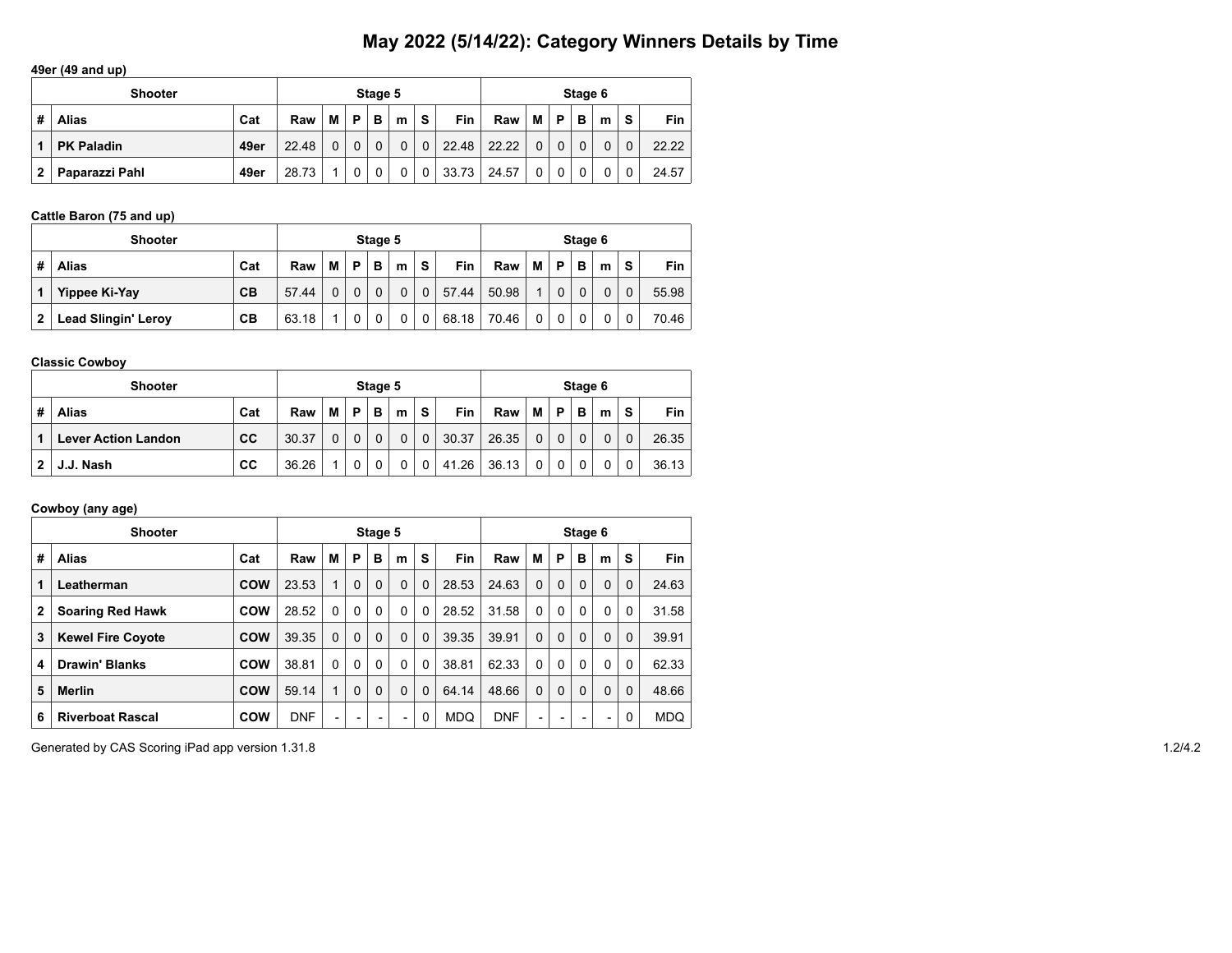### **49er (49 and up)**

|              | <b>Shooter</b>    |      |       |   |          | Stage 5 |   |   |            |       |   |          | Stage 6 |   |          |            |
|--------------|-------------------|------|-------|---|----------|---------|---|---|------------|-------|---|----------|---------|---|----------|------------|
| #            | <b>Alias</b>      | Cat  | Raw   | М | P        | В       | m | s | <b>Fin</b> | Raw   | М | P        | в       | m | S        | <b>Fin</b> |
|              | <b>PK Paladin</b> | 49er | 22.48 | 0 | $\Omega$ |         | 0 | 0 | 22.48      | 22.22 | 0 | $\Omega$ |         |   | $\Omega$ | 22.22      |
| $\mathbf{2}$ | Paparazzi Pahl    | 49er | 28.73 |   | 0        |         | 0 | 0 | 33.73      | 24.57 | 0 |          |         |   | 0        | 24.57      |

# **Cattle Baron (75 and up)**

|   | <b>Shooter</b>             |     |       |   |          | Stage 5  |          |             |       |       |   |          | Stage 6 |   |          |       |
|---|----------------------------|-----|-------|---|----------|----------|----------|-------------|-------|-------|---|----------|---------|---|----------|-------|
| # | <b>Alias</b>               | Cat | Raw   | м | P        | в        | m        | S           | Fin   | Raw   | м | P        | в       | m | S        | Fin   |
|   | Yippee Ki-Yay              | CB  | 57.44 | 0 | $\Omega$ | $\Omega$ | $\Omega$ | $\mathbf 0$ | 57.44 | 50.98 |   | 0        | 0       | 0 | $\Omega$ | 55.98 |
| 2 | <b>Lead Slingin' Leroy</b> | CВ  | 63.18 | и | 0        |          | 0        | 0           | 68.18 | 70.46 | 0 | $\Omega$ | 0       | 0 |          | 70.46 |

#### **Classic Cowboy**

|   | <b>Shooter</b>             |     |       |   |    | Stage 5 |   |             |       |       |          |   | Stage 6 |   |          |       |
|---|----------------------------|-----|-------|---|----|---------|---|-------------|-------|-------|----------|---|---------|---|----------|-------|
| # | <b>Alias</b>               | Cat | Raw   | M | P. | в       | m | s           | Fin   | Raw   | М        | P | в       | m | S        | Fin   |
|   | <b>Lever Action Landon</b> | cc  | 30.37 | 0 | 0  | 0       | 0 | $\mathbf 0$ | 30.37 | 26.35 | $\Omega$ |   |         | 0 | $\Omega$ | 26.35 |
|   | J.J. Nash                  | СC  | 36.26 |   |    |         | 0 | 0           | 41.26 | 36.13 | $\Omega$ |   |         |   |          | 36.13 |

# **Cowboy (any age)**

|              | <b>Shooter</b>           |            |            |                          |                          | Stage 5  |                 |          |            |            |          |          | Stage 6                  |          |          |            |
|--------------|--------------------------|------------|------------|--------------------------|--------------------------|----------|-----------------|----------|------------|------------|----------|----------|--------------------------|----------|----------|------------|
| #            | Alias                    | Cat        | Raw        | М                        | P                        | B        | m               | S        | <b>Fin</b> | Raw        | м        | P        | в                        | m        | S        | <b>Fin</b> |
| 1            | Leatherman               | COW        | 23.53      | 1                        | $\Omega$                 | $\Omega$ | $\Omega$        | $\Omega$ | 28.53      | 24.63      | $\Omega$ | $\Omega$ | $\Omega$                 | $\Omega$ | $\Omega$ | 24.63      |
| $\mathbf{2}$ | <b>Soaring Red Hawk</b>  | <b>COW</b> | 28.52      | $\Omega$                 | $\Omega$                 | $\Omega$ | $\Omega$        | $\Omega$ | 28.52      | 31.58      | 0        | $\Omega$ | $\mathbf{0}$             | $\Omega$ | $\Omega$ | 31.58      |
| 3            | <b>Kewel Fire Coyote</b> | COW        | 39.35      | $\Omega$                 | $\Omega$                 | $\Omega$ | $\Omega$        | $\Omega$ | 39.35      | 39.91      | $\Omega$ | $\Omega$ | $\Omega$                 | 0        | $\Omega$ | 39.91      |
| 4            | <b>Drawin' Blanks</b>    | <b>COW</b> | 38.81      | $\mathbf{0}$             | $\Omega$                 | $\Omega$ | $\Omega$        | $\Omega$ | 38.81      | 62.33      | 0        | $\Omega$ | $\Omega$                 | $\Omega$ | $\Omega$ | 62.33      |
| 5            | <b>Merlin</b>            | COW        | 59.14      | 1                        | $\Omega$                 | $\Omega$ | $\Omega$        | $\Omega$ | 64.14      | 48.66      | $\Omega$ | $\Omega$ | $\Omega$                 | $\Omega$ | $\Omega$ | 48.66      |
| 6            | <b>Riverboat Rascal</b>  | <b>COW</b> | <b>DNF</b> | $\overline{\phantom{0}}$ | $\overline{\phantom{0}}$ | ۰        | $\qquad \qquad$ | 0        | <b>MDQ</b> | <b>DNF</b> | -        | -        | $\overline{\phantom{0}}$ | -        | 0        | <b>MDQ</b> |

Generated by CAS Scoring iPad app version 1.31.8 1.2/4.2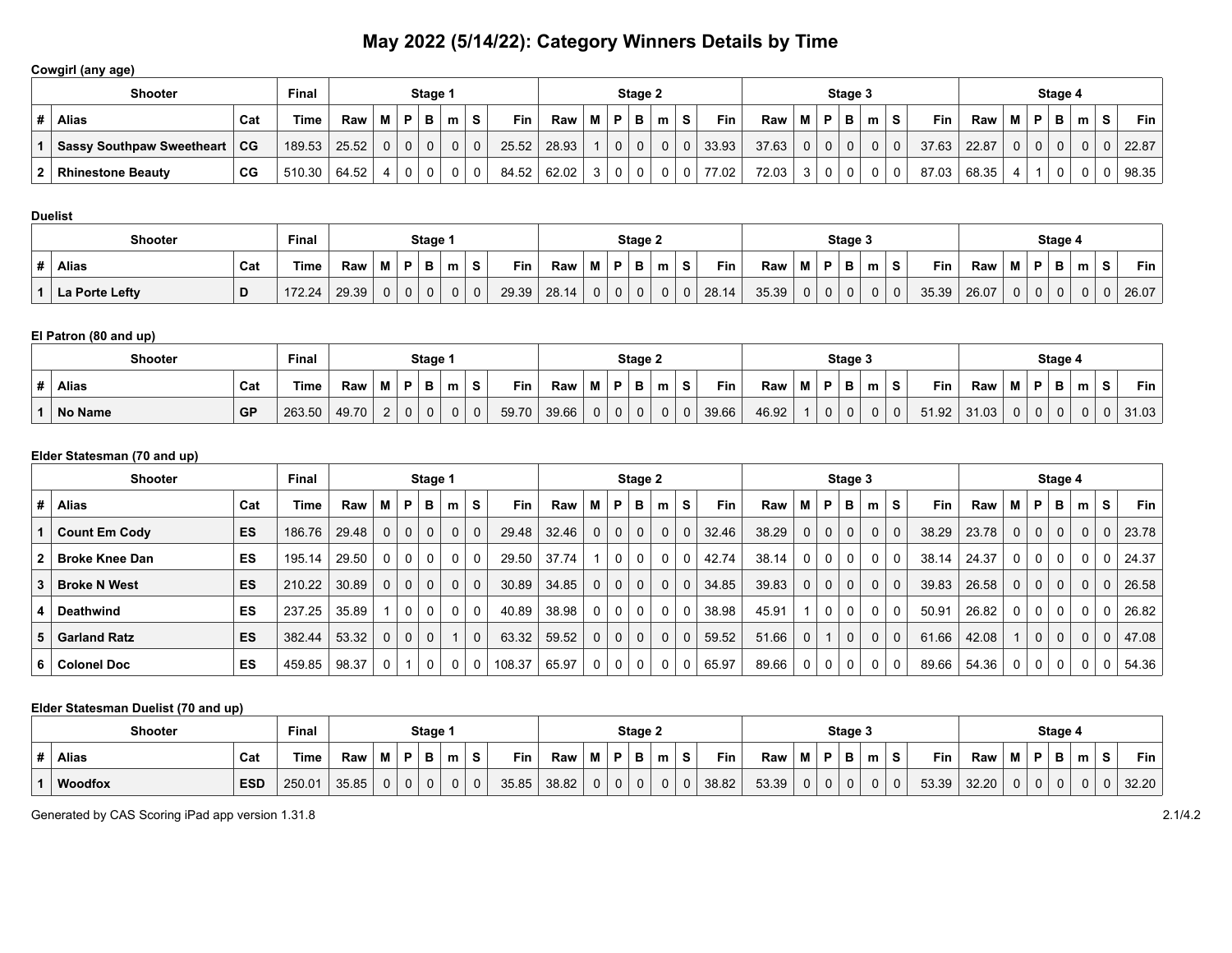# **Cowgirl (any age)**

| <b>Shooter</b>                   |           | <b>Final</b>   |        |                |                | Stage 1      |   |             |       |       |     |                | Stage 2 |   |          |            |       |                |                | Stage 3        |    |             |            |       |                |              | Stage 4      |                |   |             |
|----------------------------------|-----------|----------------|--------|----------------|----------------|--------------|---|-------------|-------|-------|-----|----------------|---------|---|----------|------------|-------|----------------|----------------|----------------|----|-------------|------------|-------|----------------|--------------|--------------|----------------|---|-------------|
| <b>Alias</b>                     | Cat       | Time           | Raw    | M P            |                | B            | m | S.          | Fin.  | Raw   | M I | P.             | в       | m | s        | <b>Fin</b> | Raw   |                | ∣ p            | в              | m. | S.          | <b>Fin</b> | Raw   |                | P            | в            | m              | s | Fin $\vert$ |
| <b>Sassy Southpaw Sweetheart</b> | <b>CG</b> | 189.53         | 125.52 | 0 <sup>1</sup> | $\overline{0}$ | $\mathbf{0}$ |   | $\mathbf 0$ | 25.52 | 28.93 |     | 0 <sup>1</sup> |         |   | $\Omega$ | 33.93      | 37.63 | 0 <sup>1</sup> | 0 <sup>1</sup> | $\overline{0}$ |    | $\Omega$    | 37.63      | 22.87 | 0 <sup>1</sup> | $\mathbf{0}$ | $\mathbf{0}$ | 0 <sub>1</sub> |   | 0   22.87   |
| <b>Rhinestone Beauty</b>         | CG        | 510.30   64.52 |        |                | $\overline{0}$ | 0            |   | 0           | 84.52 | 62.02 |     | 0 <sup>1</sup> |         |   | 0        | 77.02      | 72.03 | 3              | 0 <sup>1</sup> | $\Omega$       |    | $\mathbf 0$ | 87.03      | 68.35 |                |              | 0            | $\Omega$       |   | 98.35       |

#### **Duelist**

| <b>Shooter</b> |     | Final  |       |          |             | Stage 1 |   |          |            |       |          |   | Stage 2 |   |       |       |                |   | Stage 3  |   |   |       |       |   |          | Stage 4 |   |    |       |
|----------------|-----|--------|-------|----------|-------------|---------|---|----------|------------|-------|----------|---|---------|---|-------|-------|----------------|---|----------|---|---|-------|-------|---|----------|---------|---|----|-------|
| <b>Alias</b>   | Cat | Time   | Raw   | M        |             | D.      | m | s        | <b>Fin</b> | Raw   |          | D |         | m | Fin   | Raw   | M              | D | в        | m | s | Fin   | Raw   | м | . D. .   | - -     | m | S. | Fin   |
| La Porte Lefty |     | 172.24 | 29.39 | $\Omega$ | $\mathbf 0$ | 0       |   | $\Omega$ | 29.39      | 28.14 | $\Omega$ |   |         |   | 28.14 | 35.39 | 0 <sup>1</sup> |   | $\Omega$ |   | 0 | 35.39 | 26.07 | 0 | $\Omega$ |         |   |    | 26.07 |

# **El Patron (80 and up)**

| <b>Shooter</b> |           | Final  |       |              |        | Stage 1  |   |    |       |       |          |   | Stage 2  |   |             |            |       |   |   | Stage 3 |   |   |       |       |                |          | Stage 4 |   |   |       |
|----------------|-----------|--------|-------|--------------|--------|----------|---|----|-------|-------|----------|---|----------|---|-------------|------------|-------|---|---|---------|---|---|-------|-------|----------------|----------|---------|---|---|-------|
| <b>Alias</b>   | Cat       | Γime   | Raw   | М            | P      | в        | m | s  | Fin   | Raw   | M i      | D | в        | m | S           | <b>Fin</b> | Raw   | М | P |         | m | s | Fin   | Raw   | М              | D        | в       | m | s | Fin   |
| No Name        | <b>GP</b> | 263.50 | 49.70 | <sup>n</sup> | $\sim$ | $\Omega$ | 0 | ັບ | 59.70 | 39.66 | $\Omega$ | 0 | $\Omega$ | U | $\mathbf 0$ | 39.66      | 46.92 |   |   | 0       | 0 |   | 51.92 | 31.03 | 0 <sup>1</sup> | $\Omega$ | 0       |   |   | 31.03 |

# **Elder Statesman (70 and up)**

|    | <b>Final</b><br><b>Shooter</b><br>Stage 1 |           |        |       |             |                |                |              |             |            |       |              |                | Stage 2        |             |             |       |       |                |                | Stage 3      |                |             |       |       |                |             | Stage 4        |                |                |       |
|----|-------------------------------------------|-----------|--------|-------|-------------|----------------|----------------|--------------|-------------|------------|-------|--------------|----------------|----------------|-------------|-------------|-------|-------|----------------|----------------|--------------|----------------|-------------|-------|-------|----------------|-------------|----------------|----------------|----------------|-------|
|    | Alias                                     | Cat       | Time   | Raw   | м           | P              | в              | m            | S.          | <b>Fin</b> | Raw   | м            | P              | в              | m           | s           | Fin   | Raw   | М              | P              | в            | m              | s           | Fin   | Raw   | M I            | P           | в              | m              | S.             | Fin   |
|    | <b>Count Em Cody</b>                      | <b>ES</b> | 186.76 | 29.48 | $\mathbf 0$ | 0 <sup>1</sup> | $\mathbf 0$    | $\mathbf{0}$ | $\mathbf 0$ | 29.48      | 32.46 | $\mathbf{0}$ | 0 <sup>1</sup> | $\mathbf{0}$   | 0           | $\mathbf 0$ | 32.46 | 38.29 | 0 <sup>1</sup> | $\overline{0}$ | $\mathbf{0}$ | 0 <sup>1</sup> | $\mathbf 0$ | 38.29 | 23.78 | 0 <sup>1</sup> | $\mathbf 0$ | 0              | $\overline{0}$ | 0 <sup>1</sup> | 23.78 |
| 2  | ∣ Broke Knee Dan                          | ES        | 195.14 | 29.50 | $\Omega$    | $\overline{0}$ | $\overline{0}$ | 0            | 0           | 29.50      | 37.74 |              | $\Omega$       | $\Omega$       | 0           | 0           | 42.74 | 38.14 | 0 <sup>1</sup> | $\mathbf{0}$   | $\mathbf 0$  | 0 <sup>1</sup> | $\Omega$    | 38.14 | 24.37 | 0 <sup>1</sup> | $\Omega$    | 0              | 0              | $\Omega$       | 24.37 |
|    | <b>Broke N West</b>                       | <b>ES</b> | 210.22 | 30.89 | $\Omega$    | 0 <sup>1</sup> | $\mathbf 0$    | $\mathbf{0}$ | $\mathbf 0$ | 30.89      | 34.85 | $\mathbf{0}$ | 0 <sup>1</sup> | 0 <sub>1</sub> | 0           | $\mathbf 0$ | 34.85 | 39.83 | 0 <sup>1</sup> | $\mathbf{0}$   | $\mathbf{0}$ | $\mathbf{0}$   | $\Omega$    | 39.83 | 26.58 | 0 <sup>1</sup> | $\mathbf 0$ | 0 <sup>1</sup> | $\overline{0}$ | 0 <sup>1</sup> | 26.58 |
|    | Deathwind                                 | ES        | 237.25 | 35.89 |             | $\mathbf{0}$   | $\mathbf 0$    | $\mathbf 0$  | 0           | 40.89      | 38.98 | $\mathbf{0}$ | $\overline{0}$ | $\mathbf 0$    | 0           | 0           | 38.98 | 45.91 |                | $\mathbf 0$    | $\mathbf{0}$ | 0 <sup>1</sup> | $\Omega$    | 50.91 | 26.82 | 0 <sup>1</sup> | 0           | 0              | $\mathbf{0}$   | $\Omega$       | 26.82 |
| 5. | Garland Ratz                              | <b>ES</b> | 382.44 | 53.32 | $\Omega$    | 0 <sup>1</sup> | $\mathbf 0$    |              | $\mathbf 0$ | 63.32      | 59.52 | $\mathbf 0$  | 0 <sup>1</sup> | $\mathbf{0}$   | $\mathbf 0$ | $\mathbf 0$ | 59.52 | 51.66 | 0 <sup>1</sup> |                | $\mathbf{0}$ | 0 <sup>1</sup> | $\Omega$    | 61.66 | 42.08 | 1 <sup>1</sup> | $\mathbf 0$ | 0 <sup>1</sup> | $\overline{0}$ | $\Omega$       | 47.08 |
| 6. | Colonel Doc                               | ES        | 459.85 | 98.37 | $\Omega$    |                | 0              | $\Omega$     |             | 108.37     | 65.97 | 0            | $\Omega$       | $\Omega$       | 0           | $\Omega$    | 65.97 | 89.66 | 0 <sup>1</sup> | $\mathbf 0$    | $\Omega$     | $\Omega$       | 0           | 89.66 | 54.36 | 0 <sup>1</sup> | 0           | 0              | 0              | 0              | 54.36 |

#### **Elder Statesman Duelist (70 and up)**

| <b>Shooter</b>        | Final  |       |   |          | Stage 1  |   |             |       |       |    |    | Stage 2  |   |             |       |       |   |   | Stage 3 |   |                          |       |       |                |          | Stage 4 |   |    |         |
|-----------------------|--------|-------|---|----------|----------|---|-------------|-------|-------|----|----|----------|---|-------------|-------|-------|---|---|---------|---|--------------------------|-------|-------|----------------|----------|---------|---|----|---------|
| <b>Alias</b><br>Cat   | Time   | Raw   | M | P        | в        | m | <b>S</b>    | Fin   | Raw   | M  | D. | в        | m | S           | Fin   | Raw   | M | D |         | m | $\overline{\phantom{a}}$ | Fin   | Raw   |                | D        | Ð       | m | S. | Fin $ $ |
| <b>ESD</b><br>Woodfox | 250.01 | 35.85 |   | $\Omega$ | $\Omega$ |   | $\mathbf 0$ | 35.85 | 38.82 | υ. | 0  | $\Omega$ | 0 | $\mathbf 0$ | 38.82 | 53.39 | 0 |   |         |   | $\Omega$                 | 53.39 | 32.20 | 0 <sup>1</sup> | $\Omega$ | n       |   | 0  | 32.20   |

Generated by CAS Scoring iPad app version 1.31.8 2.1/4.2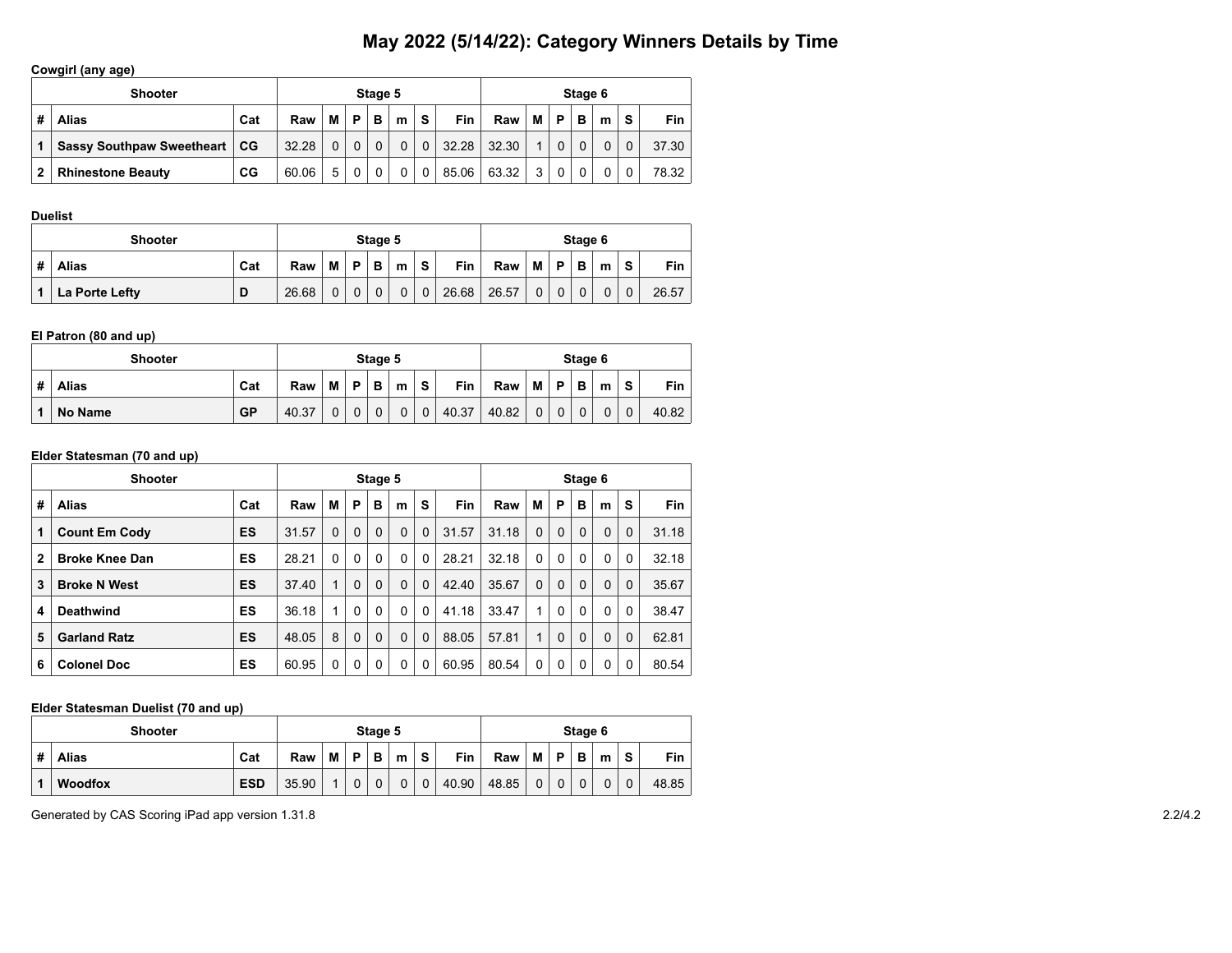# **Cowgirl (any age)**

|   | <b>Shooter</b>            |     |       |   |          | Stage 5 |   |              |       |       |   |   | Stage 6 |   |    |            |
|---|---------------------------|-----|-------|---|----------|---------|---|--------------|-------|-------|---|---|---------|---|----|------------|
| # | Alias                     | Cat | Raw   | М | Þ        | В       | m | S.           | Fin   | Raw   | M | P | B       | m | S. | <b>Fin</b> |
|   | Sassy Southpaw Sweetheart | ∣CG | 32.28 |   | $\Omega$ |         | 0 | $\Omega$     | 32.28 | 32.30 |   | 0 |         |   | 0  | 37.30      |
| 2 | <b>Rhinestone Beauty</b>  | CG  | 60.06 | 5 | $\Omega$ |         | 0 | $\mathbf{0}$ | 85.06 | 63.32 | 3 | 0 |         |   |    | 78.32      |

#### **Duelist**

|   | <b>Shooter</b> |     |       |   |          | Stage 5 |   |                |       |       |              |          | Stage 6 |   |   |       |
|---|----------------|-----|-------|---|----------|---------|---|----------------|-------|-------|--------------|----------|---------|---|---|-------|
| # | <b>Alias</b>   | Cat | Raw   | М | D        | B.      | m | -S             | Fin   | Raw   | М            | P.       | в       | m | S | Fin   |
|   | La Porte Lefty | D   | 26.68 | 0 | $\Omega$ |         | 0 | 0 <sup>1</sup> | 26.68 | 26.57 | $\mathbf{0}$ | $\Omega$ |         | 0 | 0 | 26.57 |

#### **El Patron (80 and up)**

|   | <b>Shooter</b> |           |       |   |          | Stage 5  |   |   |       |       |          |   | Stage 6 |   |          |       |
|---|----------------|-----------|-------|---|----------|----------|---|---|-------|-------|----------|---|---------|---|----------|-------|
| # | <b>Alias</b>   | Cat       | Raw   | M | P        | в        | m | s | Fin   | Raw   | м        | Ð | в       | m | <b>s</b> | Fin   |
|   | No Name        | <b>GP</b> | 40.37 | 0 | $\Omega$ | $\Omega$ | 0 | 0 | 40.37 | 40.82 | $\Omega$ |   |         | 0 |          | 40.82 |

### **Elder Statesman (70 and up)**

|              | <b>Shooter</b>        |     |       |          |          | Stage 5  |          |             |       |       |              |   | Stage 6  |          |          |       |
|--------------|-----------------------|-----|-------|----------|----------|----------|----------|-------------|-------|-------|--------------|---|----------|----------|----------|-------|
| #            | <b>Alias</b>          | Cat | Raw   | М        | P        | B        | m        | S           | Fin   | Raw   | M            | P | B        | m        | S        | Fin   |
| $\mathbf{1}$ | <b>Count Em Cody</b>  | ES  | 31.57 | $\Omega$ | $\Omega$ | $\Omega$ | 0        | 0           | 31.57 | 31.18 | $\Omega$     | 0 | $\Omega$ | $\Omega$ | $\Omega$ | 31.18 |
| $\mathbf{2}$ | <b>Broke Knee Dan</b> | ES  | 28.21 | $\Omega$ | $\Omega$ | $\Omega$ | 0        | 0           | 28.21 | 32.18 | $\mathbf{0}$ | 0 | $\Omega$ | $\Omega$ | $\Omega$ | 32.18 |
| 3            | <b>Broke N West</b>   | ES  | 37.40 | 1        | $\Omega$ | $\Omega$ | 0        | $\Omega$    | 42.40 | 35.67 | $\Omega$     | 0 | $\Omega$ | $\Omega$ | $\Omega$ | 35.67 |
| 4            | <b>Deathwind</b>      | ES  | 36.18 | 1        | $\Omega$ | $\Omega$ | $\Omega$ | 0           | 41.18 | 33.47 | $\mathbf{1}$ | 0 | $\Omega$ | 0        | $\Omega$ | 38.47 |
| 5            | <b>Garland Ratz</b>   | ES  | 48.05 | 8        | $\Omega$ | $\Omega$ | $\Omega$ | $\mathbf 0$ | 88.05 | 57.81 | 1            | 0 | $\Omega$ | $\Omega$ | $\Omega$ | 62.81 |
| 6            | <b>Colonel Doc</b>    | ES  | 60.95 | 0        | $\Omega$ | 0        | 0        | 0           | 60.95 | 80.54 | $\Omega$     | 0 | $\Omega$ | 0        | 0        | 80.54 |

#### **Elder Statesman Duelist (70 and up)**

| <b>Shooter</b>    |            |       |   |    | Stage 5 |   |   |            |       |          |   | Stage 6     |   |   |       |
|-------------------|------------|-------|---|----|---------|---|---|------------|-------|----------|---|-------------|---|---|-------|
| #<br><b>Alias</b> | Cat        | Raw   | M | D. | В       | m | s | <b>Fin</b> | Raw   | M        | P | B           | m | S | Fin   |
| <b>Woodfox</b>    | <b>ESD</b> | 35.90 |   | 0  |         | 0 | 0 | 40.90      | 48.85 | $\Omega$ |   | $\mathbf 0$ | 0 |   | 48.85 |

Generated by CAS Scoring iPad app version 1.31.8 2.2/4.2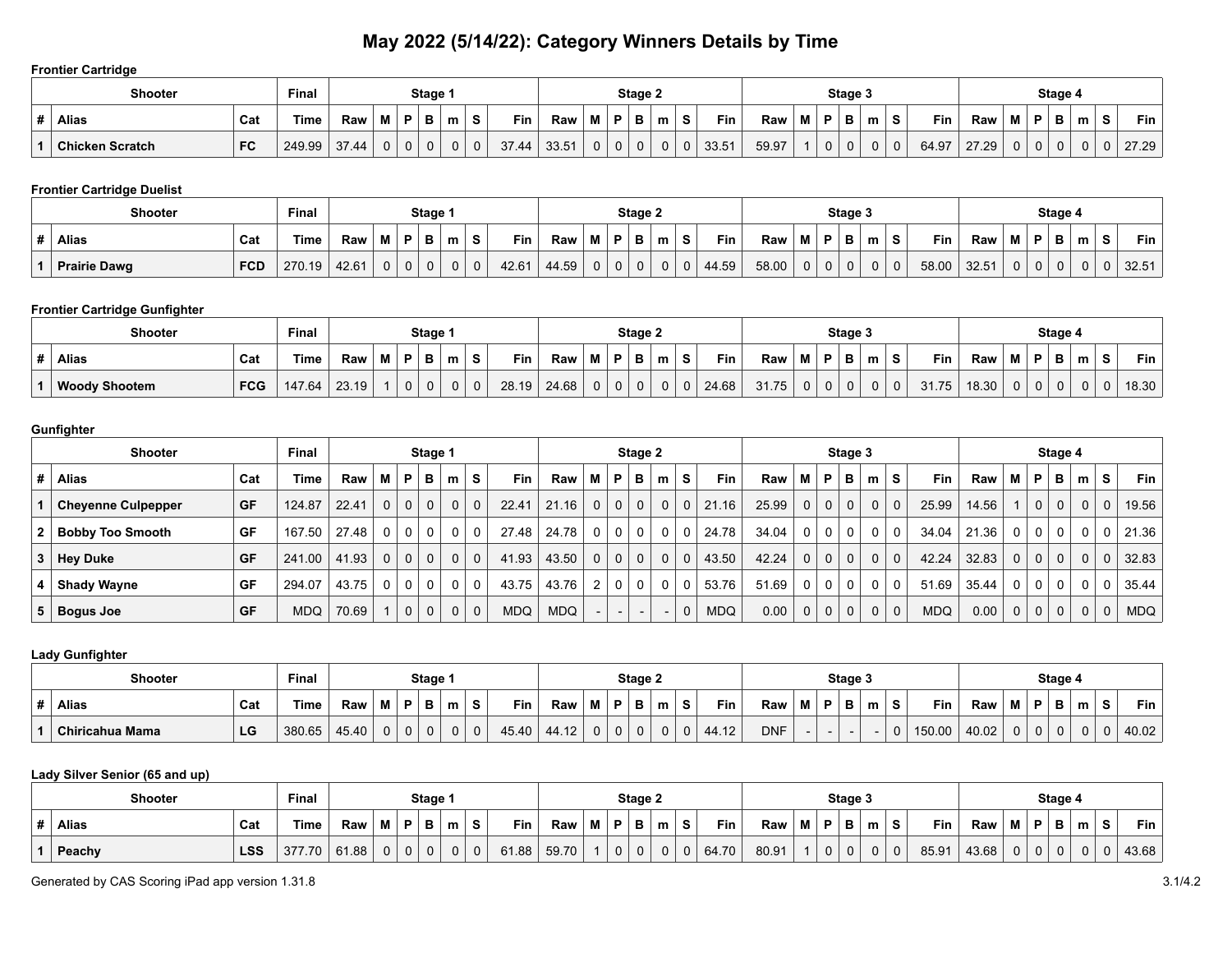#### **Frontier Cartridge**

|   | <b>Shooter</b>         |           | <b>Final</b> |       |        |    | <b>Stage</b> |   |             |       |       |   |   | Stage 2 |   |          |       |       |   | Stage 3 |   |          |            |       |     |    | Stage |   |    |       |
|---|------------------------|-----------|--------------|-------|--------|----|--------------|---|-------------|-------|-------|---|---|---------|---|----------|-------|-------|---|---------|---|----------|------------|-------|-----|----|-------|---|----|-------|
| # | <b>Alias</b>           | Cat       | Time         | Raw   | M<br>ш | в. |              | m | S           | Fin   | Raw   |   | Ð |         | m | a,       | Fin   | Raw   | Ð | D       | m |          | <b>Fin</b> | Raw   | IVI | P  |       | m | S. | Fin   |
|   | <b>Chicken Scratch</b> | <b>FC</b> | 249.99       | 37.44 | 0      | 0  | 0            | 0 | $\mathbf 0$ | 37.44 | 33.51 | 0 |   |         |   | $\Omega$ | 33.51 | 59.97 |   | 0       |   | $\Omega$ | 64.97      | 27.29 | 0   | ັບ | 0     |   | 0  | 27.29 |

# **Frontier Cartridge Duelist**

| Shooter             |            | Final  |       |   |             | Stage 1  |          |   |       |       |             |    | Stage 2  |   |    |       |       |          |   | Stage 3  |   |                   |       |       |                |   | Stage 4 |   |   |       |
|---------------------|------------|--------|-------|---|-------------|----------|----------|---|-------|-------|-------------|----|----------|---|----|-------|-------|----------|---|----------|---|-------------------|-------|-------|----------------|---|---------|---|---|-------|
| <b>Alias</b>        | Cat        | Time   | Raw   | M | P           | B        | m        | s | Fin   | Raw   | M           | в. | в        | m | S. | Fin   | Raw   | M        | Ð |          | m | $\mathbf{C}$<br>G | Fin   | Raw   | M              | Ð | D<br>P  | m | s | Fin   |
| <b>Prairie Dawg</b> | <b>FCD</b> | 270.19 | 42.61 | 0 | $\mathbf 0$ | $\Omega$ | $\Omega$ |   | 42.61 | 44.59 | $\mathbf 0$ |    | $\Omega$ | 0 | 0  | 44.59 | 58.00 | $\Omega$ |   | $\Omega$ | 0 | 0                 | 58.00 | 32.51 | 0 <sup>1</sup> |   | 0       |   |   | 32.51 |

### **Frontier Cartridge Gunfighter**

| <b>Shooter</b>       |            | Final  |       |   |    | Stage 1     |   |   |       |       |          |    | Stage 2 |   |   |       |       |   |   | Stage 3 |   |   |       |       |   |    | Stage 4 |   |        |       |
|----------------------|------------|--------|-------|---|----|-------------|---|---|-------|-------|----------|----|---------|---|---|-------|-------|---|---|---------|---|---|-------|-------|---|----|---------|---|--------|-------|
| <b>Alias</b>         | Cat        | Time   | Raw   | M | P. | в           | m | s | Fin   | Raw   | M        | о. | Ð<br>Ð  | m | s | Fin   | Raw   | M | Ð |         | m | Ð | Fin   | Raw   | Μ | в. | P       | m | e<br>P | Fin l |
| <b>Woody Shootem</b> | <b>FCG</b> | 147.64 | 23.19 |   | 0  | $\mathbf 0$ | 0 |   | 28.19 | 24.68 | $\Omega$ |    | 0       | υ | 0 | 24.68 | 31.75 |   |   | 0       |   |   | 31.75 | 18.30 | 0 |    | 0       |   |        | 18.30 |

#### **Gunfighter**

|                         | <b>Shooter</b>            |           | Final       |       |                |                | Stage 1        |              |                |            |            |                |                | Stage 2        |                |                |            |       |                |                | Stage 3        |              |             |            |       |                |              | Stage 4      |          |              |             |
|-------------------------|---------------------------|-----------|-------------|-------|----------------|----------------|----------------|--------------|----------------|------------|------------|----------------|----------------|----------------|----------------|----------------|------------|-------|----------------|----------------|----------------|--------------|-------------|------------|-------|----------------|--------------|--------------|----------|--------------|-------------|
| #                       | Alias                     | Cat       | <b>Time</b> | Raw   | М              | P              | в              | m            | S.             | <b>Fin</b> | Raw        | м              | P              | в              | m              | S.             | <b>Fin</b> | Raw   | м              | P              | в              | m            | S.          | <b>Fin</b> | Raw   | М              | P            | в            | m        | s            | Fin $\vert$ |
|                         | <b>Cheyenne Culpepper</b> | <b>GF</b> | 124.87      | 22.41 | 0 <sub>1</sub> | 0 <sup>1</sup> | $\Omega$       |              | 0 <sup>0</sup> | 22.41      | 21.16      | $\Omega$       | 0 <sup>1</sup> | 0 <sup>1</sup> | 0 <sup>1</sup> | $\overline{0}$ | 21.16      | 25.99 | 0 <sup>1</sup> | $\overline{0}$ | $\Omega$       | $\mathbf{0}$ | $\Omega$    | 25.99      | 14.56 |                | $\mathbf{0}$ | $\mathbf{0}$ | $\Omega$ | $\mathbf{0}$ | 19.56       |
| $\overline{\mathbf{2}}$ | <b>Bobby Too Smooth</b>   | GF        | 167.50      | 27.48 | $\mathbf{0}$   | $\overline{0}$ | $\Omega$       | 0            | 0              | 27.48      | 24.78      | 0 <sup>1</sup> | 0 <sup>1</sup> | $\mathbf 0$    | $\Omega$       | 0 <sub>1</sub> | 24.78      | 34.04 | 0 <sup>1</sup> | 0              | $\Omega$       | $\mathbf{0}$ | $\Omega$    | 34.04      | 21.36 | $\Omega$       | 0            | 0            | $\Omega$ | 0            | 21.36       |
| 3                       | <b>Hey Duke</b>           | <b>GF</b> | 241.00      | 41.93 | $\Omega$       | 0 <sup>1</sup> | $\Omega$       |              | 0 <sup>0</sup> | 41.93      | 43.50      | $\Omega$       | 0 <sup>1</sup> | $\Omega$       | 0 <sup>1</sup> | 0 <sup>1</sup> | 43.50      | 42.24 | 0 <sup>1</sup> | $\mathbf{0}$   | 0 <sup>1</sup> | $\Omega$     | $\Omega$    | 42.24      | 32.83 | 0 <sup>1</sup> | $\mathbf 0$  | $\mathbf{0}$ | $\Omega$ | $\mathbf 0$  | 32.83       |
|                         | <b>Shady Wayne</b>        | GF        | 294.07      | 43.75 | $\Omega$       | 0 <sup>1</sup> | $\overline{0}$ | 0            | - 0            | 43.75      | 43.76      | 2 <sup>1</sup> | 0 <sup>1</sup> | $\mathbf 0$    | $\Omega$       | $\mathbf{0}$   | 53.76      | 51.69 | 0 <sup>1</sup> | $\overline{0}$ | $\Omega$       | $\mathbf 0$  | $\Omega$    | 51.69      | 35.44 | 0 <sup>1</sup> | $\mathbf 0$  | $\mathbf 0$  | $\Omega$ | 0            | 35.44       |
| 5                       | <b>Bogus Joe</b>          | GF        | <b>MDQ</b>  | 70.69 |                | $\overline{0}$ | $\Omega$       | $\mathbf{0}$ | $\overline{0}$ | <b>MDQ</b> | <b>MDQ</b> |                | $  -$          |                |                | $\Omega$       | <b>MDQ</b> | 0.00  | 0 <sup>1</sup> | $\Omega$       | $\Omega$       | $\mathbf{0}$ | $\mathbf 0$ | <b>MDQ</b> | 0.00  | 0 <sup>1</sup> | $\mathbf 0$  | $\mathbf{0}$ | $\Omega$ | $\mathbf 0$  | <b>MDQ</b>  |

### **Lady Gunfighter**

| <b>Shooter</b>  |     | Final  |       |         |          | Stage 1 |   |          |       |                        |        |   | Stage 2  |   |             |                 |            |   |   | Stage 3 |   |        |       |          |          | Stage 4 |   |   |         |
|-----------------|-----|--------|-------|---------|----------|---------|---|----------|-------|------------------------|--------|---|----------|---|-------------|-----------------|------------|---|---|---------|---|--------|-------|----------|----------|---------|---|---|---------|
| <b>Alias</b>    | Cat | Time   | Raw   | 88<br>M | Þ        | Ð<br>P  | m | O.       | Fin   | Raw                    | М      | Ð | P        | m | s           | Fin             | Raw        | M | Ð |         | m | Fin    | Raw   |          | D        |         | m | s | $Fin$ , |
| Chiricahua Mama | LG  | 380.65 | 45.40 |         | $\Omega$ | n       |   | $\Omega$ | 45.40 | $\overline{AB}$<br>، 2 | ◠<br>υ | U | $\Omega$ | u | $\mathbf 0$ | 11 10<br>44. IZ | <b>DNF</b> |   |   |         |   | 150.00 | 40.02 | $\Omega$ | $\Omega$ |         |   | 0 | 40.02   |

# **Lady Silver Senior (65 and up)**

| Shooter |            | Final  |       |             |             | Stage 1     |   |             |            |       |     |          | Stage 2 |   |   |            |       |   |   | Stage 3  |   |   |       |       |             |             | Stage 4              |   |   |       |
|---------|------------|--------|-------|-------------|-------------|-------------|---|-------------|------------|-------|-----|----------|---------|---|---|------------|-------|---|---|----------|---|---|-------|-------|-------------|-------------|----------------------|---|---|-------|
| Alias   | Cat        | Time   | Raw   | M           | P           | В           | m | s           | <b>Fin</b> | Raw   | RЛ. | D        | в       | m | s | <b>Fin</b> | Raw   | М | D | в        | m | S | Fin   | Raw   | 'M          | . P '       | $\blacksquare$<br>D. | m | s | Fin   |
| Peachy  | <b>LSS</b> | 377.70 | 61.88 | $\mathbf 0$ | $\mathbf 0$ | $\mathbf 0$ | ◡ | $\mathbf 0$ | 61.88      | 59.70 |     | $\Omega$ | 0       |   | 0 | 64.70      | 80.91 |   |   | $\Omega$ |   | 0 | 85.91 | 43.68 | $\mathbf 0$ | $\mathbf 0$ | $\mathbf 0$          | 0 |   | 43.68 |

Generated by CAS Scoring iPad app version 1.31.8 3.1/4.2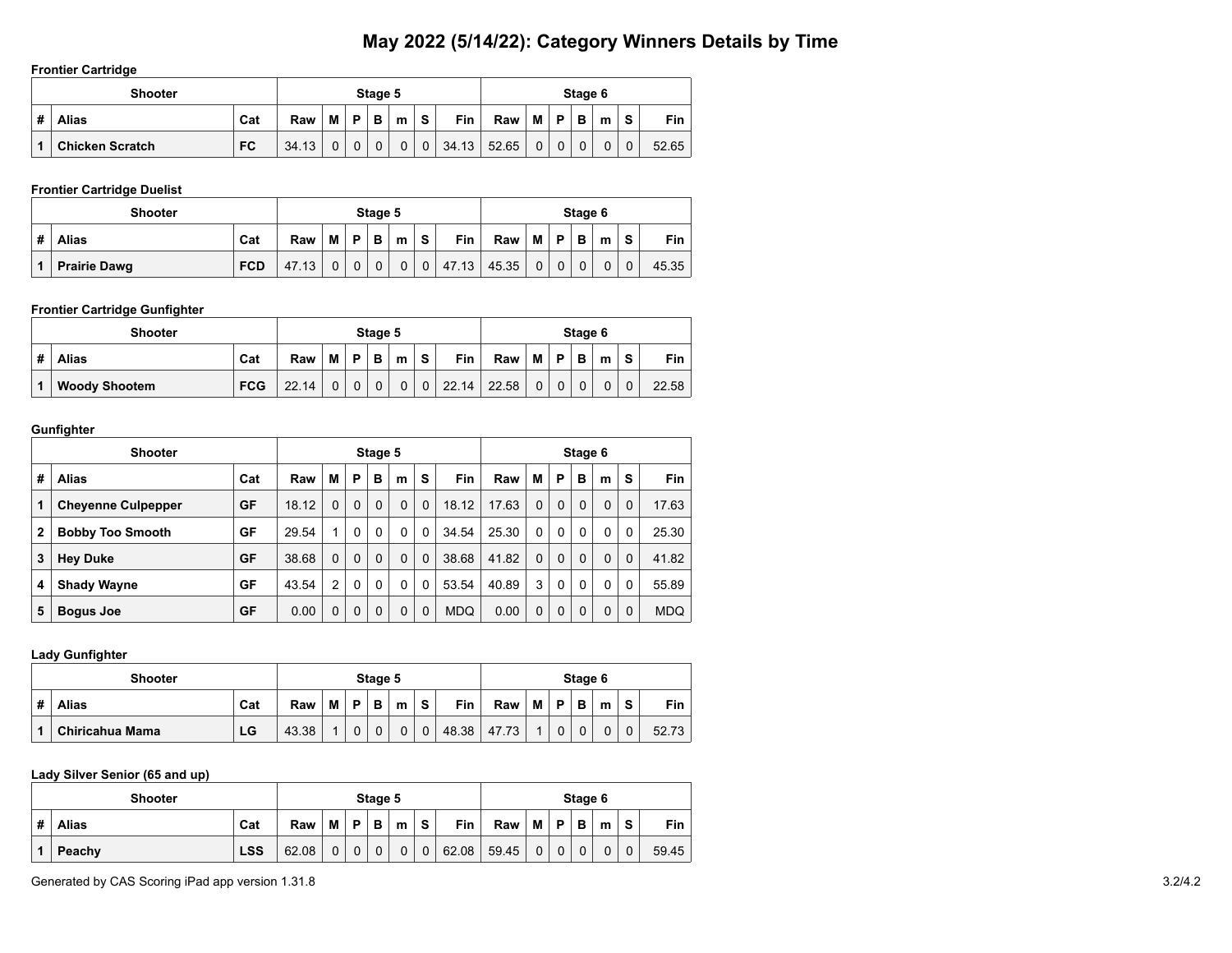#### **Frontier Cartridge**

|   | <b>Shooter</b>         |           |       |   |              | Stage 5      |             |                |            |       |                |             | Stage 6 |   |             |            |
|---|------------------------|-----------|-------|---|--------------|--------------|-------------|----------------|------------|-------|----------------|-------------|---------|---|-------------|------------|
| # | <b>Alias</b>           | Cat       | Raw   | M | P            | B            | m           | S.             | <b>Fin</b> | Raw   | M              | P           | в       | m | <b>S</b>    | <b>Fin</b> |
|   | <b>Chicken Scratch</b> | <b>FC</b> | 34.13 |   | $\mathbf{0}$ | $\mathbf{0}$ | $\mathbf 0$ | 0 <sup>1</sup> | 34.13      | 52.65 | 0 <sup>1</sup> | $\mathbf 0$ |         |   | $\mathbf 0$ | 52.65      |

# **Frontier Cartridge Duelist**

|   | <b>Shooter</b>      |            |       |   |              | Stage 5     |          |                |            |       |                |             | Stage 6     |          |             |       |
|---|---------------------|------------|-------|---|--------------|-------------|----------|----------------|------------|-------|----------------|-------------|-------------|----------|-------------|-------|
| # | <b>Alias</b>        | Cat        | Raw   | M | <b>P</b>     | в           | m        | s              | <b>Fin</b> | Raw   | M              | <b>P</b>    | в           | m        | S           | Fin   |
|   | <b>Prairie Dawg</b> | <b>FCD</b> | 47.13 | 0 | $\mathbf{0}$ | $\mathbf 0$ | $\Omega$ | 0 <sup>1</sup> | 47.13      | 45.35 | 0 <sup>1</sup> | $\mathbf 0$ | $\mathbf 0$ | $\Omega$ | $\mathbf 0$ | 45.35 |

# **Frontier Cartridge Gunfighter**

|   | <b>Shooter</b>       |            |       |          |          | Stage 5  |   |             |            |       |          |   | Stage 6 |   |   |       |
|---|----------------------|------------|-------|----------|----------|----------|---|-------------|------------|-------|----------|---|---------|---|---|-------|
| # | <b>Alias</b>         | Cat        | Raw   | м        | D        | в        | m | s           | <b>Fin</b> | Raw   | м        | P | в       | m | S | Fin   |
|   | <b>Woody Shootem</b> | <b>FCG</b> | 22.14 | $\Omega$ | $\Omega$ | $\Omega$ | 0 | $\mathbf 0$ | 22.14      | 22.58 | $\Omega$ |   |         | 0 | 0 | 22.58 |

#### **Gunfighter**

|              | <b>Shooter</b>            |     |       |             |              | Stage 5  |          |              |            |       |          |          | Stage 6  |              |          |            |
|--------------|---------------------------|-----|-------|-------------|--------------|----------|----------|--------------|------------|-------|----------|----------|----------|--------------|----------|------------|
| #            | <b>Alias</b>              | Cat | Raw   | м           | P            | B        | m        | S            | Fin        | Raw   | м        | P        | в        | m            | s        | Fin        |
| 1            | <b>Cheyenne Culpepper</b> | GF  | 18.12 | $\Omega$    | $\mathbf{0}$ | $\Omega$ | 0        | $\Omega$     | 18.12      | 17.63 | $\Omega$ | 0        | $\Omega$ | $\Omega$     | $\Omega$ | 17.63      |
| $\mathbf{2}$ | <b>Bobby Too Smooth</b>   | GF  | 29.54 | 1           | $\mathbf{0}$ | $\Omega$ | 0        | $\Omega$     | 34.54      | 25.30 | $\Omega$ | 0        | $\Omega$ | $\mathbf{0}$ | 0        | 25.30      |
| 3            | <b>Hey Duke</b>           | GF  | 38.68 | $\Omega$    | $\mathbf{0}$ | $\Omega$ | $\Omega$ | $\Omega$     | 38.68      | 41.82 | $\Omega$ | 0        | $\Omega$ | $\Omega$     | $\Omega$ | 41.82      |
| 4            | <b>Shady Wayne</b>        | GF  | 43.54 | 2           | $\Omega$     | $\Omega$ | 0        | $\Omega$     | 53.54      | 40.89 | 3        | $\Omega$ | $\Omega$ | $\mathbf{0}$ | $\Omega$ | 55.89      |
| 5            | <b>Bogus Joe</b>          | GF  | 0.00  | $\mathbf 0$ |              | $\Omega$ | 0        | $\mathbf{0}$ | <b>MDQ</b> | 0.00  | $\Omega$ | 0        | $\Omega$ | $\Omega$     | 0        | <b>MDQ</b> |

**Lady Gunfighter**

|   | <b>Shooter</b>  |     |       |   |    | Stage 5 |   |   |       |       |   |   | Stage 6 |   |   |       |
|---|-----------------|-----|-------|---|----|---------|---|---|-------|-------|---|---|---------|---|---|-------|
| # | <b>Alias</b>    | Cat | Raw   | м | D. | B.      | m | s | Fin   | Raw   | М | P | B       | m | S | Fin   |
| 1 | Chiricahua Mama | LG  | 43.38 |   | 0  |         | 0 | 0 | 48.38 | 47.73 |   |   | 0       | 0 |   | 52.73 |

#### **Lady Silver Senior (65 and up)**

|   | <b>Shooter</b> |            |       |   |          | Stage 5  |   |             |            |       |   |          | Stage 6 |   |             |            |
|---|----------------|------------|-------|---|----------|----------|---|-------------|------------|-------|---|----------|---------|---|-------------|------------|
| # | Alias          | Cat        | Raw   | M | D        | В        | m | S           | <b>Fin</b> | Raw   | M | Þ        | в       | m | S           | <b>Fin</b> |
|   | Peachy         | <b>LSS</b> | 62.08 | U | $\Omega$ | $\Omega$ | 0 | $\mathbf 0$ | 62.08      | 59.45 | 0 | $\Omega$ |         | 0 | $\mathbf 0$ | 59.45      |

Generated by CAS Scoring iPad app version 1.31.8 3.2/4.2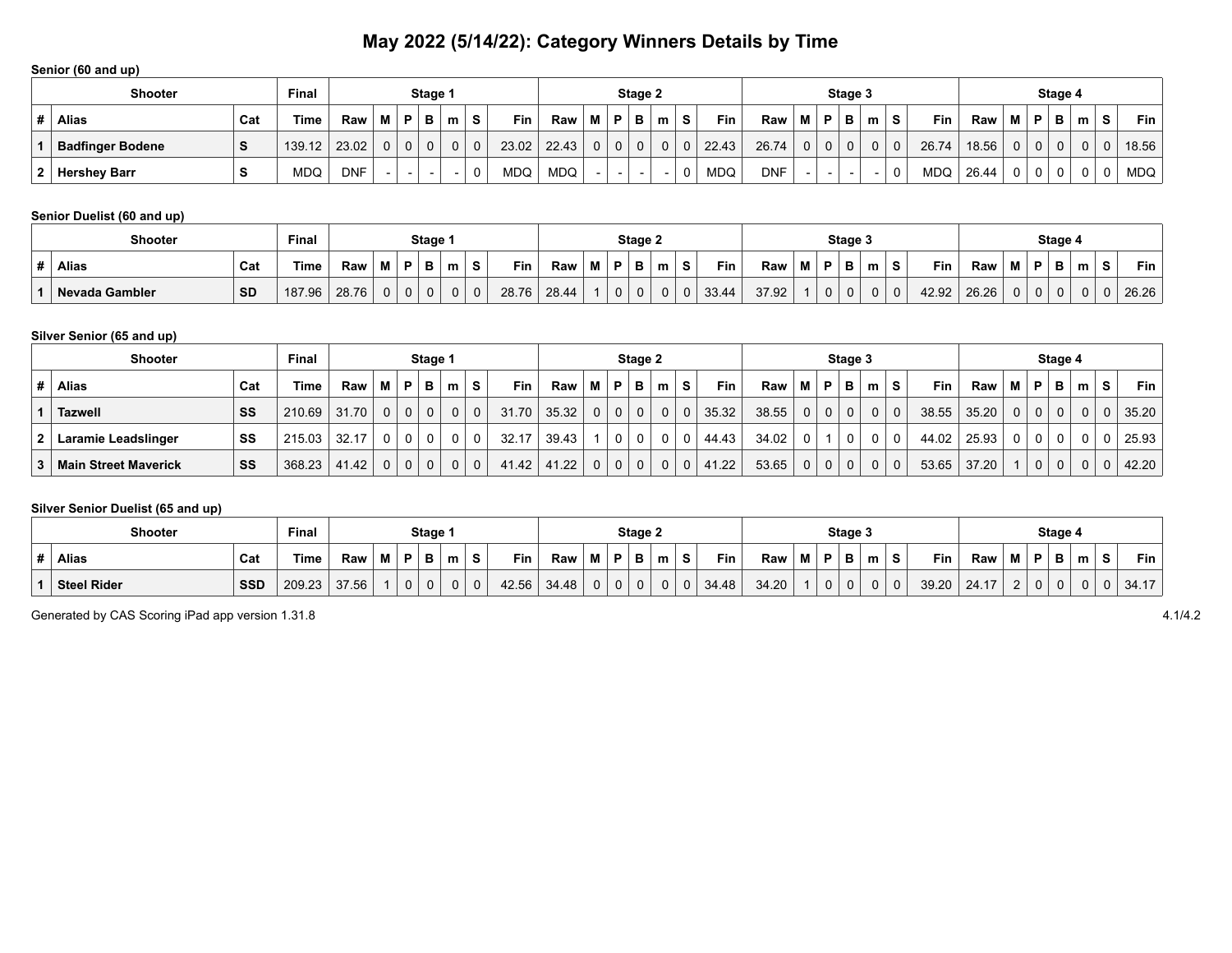#### **Senior (60 and up)**

| <b>Shooter</b>          |     | <b>Final</b> |            |          |              | Stage 1                  |                |          |       |       |   |    | Stage 2 |   |              |            |            |                |                | Stage 3        |   |          |            |       |          |             | Stage 4      |   |    |               |
|-------------------------|-----|--------------|------------|----------|--------------|--------------------------|----------------|----------|-------|-------|---|----|---------|---|--------------|------------|------------|----------------|----------------|----------------|---|----------|------------|-------|----------|-------------|--------------|---|----|---------------|
| <b>Alias</b>            | Cat | Гіmе         | Raw        | M        | P            | в                        | m              | <b>S</b> | Fin   | Raw   | м | D. | в       | m | s            | <b>Fin</b> | Raw        |                | 'D∣            | в              | m |          | Fin        | Raw   |          | P           | в            | m | S. | $Fin_{\perp}$ |
| <b>Badfinger Bodene</b> |     | 139.12       | 23.02      | $\Omega$ | $\mathbf{0}$ | $\Omega$                 | 0 <sup>1</sup> | $\Omega$ | 23.02 | 22.43 | 0 | 0  |         | 0 | <sup>0</sup> | 22.43      | 26.74      | 0 <sup>1</sup> | 0 <sup>1</sup> | 0 <sup>1</sup> |   | $\Omega$ | 26.74      | 18.56 | $\Omega$ | $\mathbf 0$ | $\mathbf{0}$ |   | 0  | 18.56         |
| 2   Hershey Barr        |     | MDQ          | <b>DNF</b> |          |              | $\overline{\phantom{0}}$ |                |          | MDQ   | MDQ   |   |    |         |   |              | MDQ        | <b>DNF</b> |                |                |                |   |          | <b>MDQ</b> | 26.44 | 0        | 0           | 0            |   | 0  | MDQ           |

# **Senior Duelist (60 and up)**

| <b>Shooter</b> |           | Final  |       |          |   | Stage 1 |   |   |       |       |          | Stage 2 |   |          |       |       |  | Stage 3 |   |          |       |       |   | Stage 4 |   |       |
|----------------|-----------|--------|-------|----------|---|---------|---|---|-------|-------|----------|---------|---|----------|-------|-------|--|---------|---|----------|-------|-------|---|---------|---|-------|
| <b>Alias</b>   | Cat       | Time   | Raw   | <br>IVI. | D | в<br>P  | m |   | Fin   | Raw   | D        |         | m | S        | Fin   | Raw   |  |         | m |          | Fin   | Raw   | Ð | в       | m | Fin   |
| Nevada Gambler | <b>SD</b> | 187.96 | 28.76 |          | 0 |         |   | 0 | 28.76 | 28.44 | $\Omega$ |         |   | $\Omega$ | 33.44 | 37.92 |  |         |   | $\Omega$ | 42.92 | 26.26 |   |         |   | 26.26 |

# **Silver Senior (65 and up)**

| <b>Shooter</b>              |     | <b>Final</b>     |       |     |                | Stage 1     |                |          |            |       |                |              | Stage 2      |             |             |            |       |                |                | Stage 3  |   |          |            |       |                |                | Stage 4        |   |   |       |
|-----------------------------|-----|------------------|-------|-----|----------------|-------------|----------------|----------|------------|-------|----------------|--------------|--------------|-------------|-------------|------------|-------|----------------|----------------|----------|---|----------|------------|-------|----------------|----------------|----------------|---|---|-------|
| <b>Alias</b>                | Cat | Time             | Raw   | M I | P              | в           | m <sub>1</sub> | -S       | <b>Fin</b> | Raw   | M P            |              | в            | m           | S.          | <b>Fin</b> | Raw   | M I            | P              | в        | m | S.       | <b>Fin</b> | Raw   |                | M   P          | в              | m | S | Fin   |
| Tazwell                     | SS  | $210.69$   31.70 |       |     | 0 <sup>1</sup> | $\mathbf 0$ | 0 <sup>1</sup> | 0        | 31.70      | 35.32 | $\setminus 0$  | $\mathbf 0$  | $\mathbf{0}$ | $\mathbf 0$ | $\mathbf 0$ | 35.32      | 38.55 | $\Omega$       | 0 <sup>1</sup> | $\Omega$ |   | $\Omega$ | 38.55      | 35.20 | 0 <sup>1</sup> | 0 <sup>1</sup> | 0 <sup>1</sup> |   |   | 35.20 |
| Laramie Leadslinger         | SS  | 215.03           | 32.17 |     | $\Omega$       |             | $\Omega$       | $\Omega$ | 32.17      | 39.43 |                | 0            | $\mathbf 0$  |             | 0           | 44.43      | 34.02 | $\mathbf{0}$   |                |          |   | 0        | 44.02      | 25.93 | 0 <sup>1</sup> | 0 <sup>1</sup> | $\Omega$       |   |   | 25.93 |
| <b>Main Street Maverick</b> | SS  | 368.23           | 41.42 |     | 0 <sup>1</sup> | $\Omega$    | 0 <sup>1</sup> | $\Omega$ | 41.42      | 41.22 | 0 <sup>1</sup> | $\mathbf{0}$ | $\Omega$     | $\mathbf 0$ | $\mathbf 0$ | 41.22      | 53.65 | 0 <sup>1</sup> | 0 <sup>1</sup> |          |   | $\Omega$ | 53.65      | 37.20 |                | $\Omega$       | 0 <sup>1</sup> |   |   | 42.20 |

# **Silver Senior Duelist (65 and up)**

| <b>Shooter</b>     |            | Final  |       |   |             | Stage 1 |   |             |       |       |      |   | Stage 2 |   |    |       |       |   |   | Stage 3 |   |          |            |       |          |    | Stage 4 |   |    |       |
|--------------------|------------|--------|-------|---|-------------|---------|---|-------------|-------|-------|------|---|---------|---|----|-------|-------|---|---|---------|---|----------|------------|-------|----------|----|---------|---|----|-------|
| <b>Alias</b>       | Cat        | Time   | Raw   | M | P           | Р.      | m | S           | Fin   | Raw   | IVI. | D | P       | m | -S | Fin   | Raw   | М | D | в       | m | S.       | <b>Fin</b> | Raw   |          | D. |         | m | S. | Fin   |
| <b>Steel Rider</b> | <b>SSD</b> | 209.23 | 37.56 |   | $\sim$<br>υ | 0       |   | $\mathbf 0$ | 42.56 | 34.48 | 0    |   |         |   |    | 34.48 | 34.20 |   | 0 | v       |   | $\Omega$ | 39.20      | 24.17 | <u>_</u> | 0  |         | 0 | 0  | 34.17 |

Generated by CAS Scoring iPad app version 1.31.8 4.1/4.2